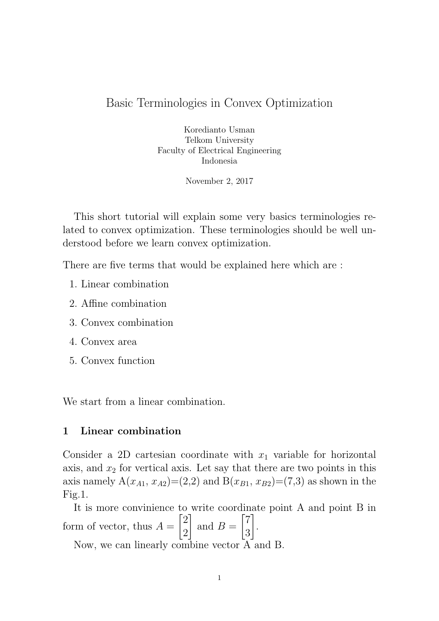# Basic Terminologies in Convex Optimization

Koredianto Usman Telkom University Faculty of Electrical Engineering Indonesia

November 2, 2017

This short tutorial will explain some very basics terminologies related to convex optimization. These terminologies should be well understood before we learn convex optimization.

There are five terms that would be explained here which are :

- 1. Linear combination
- 2. Affine combination
- 3. Convex combination
- 4. Convex area
- 5. Convex function

We start from a linear combination.

# 1 Linear combination

Consider a 2D cartesian coordinate with  $x_1$  variable for horizontal axis, and  $x_2$  for vertical axis. Let say that there are two points in this axis namely  $A(x_{A1}, x_{A2}) = (2,2)$  and  $B(x_{B1}, x_{B2}) = (7,3)$  as shown in the Fig.1.

It is more convinience to write coordinate point A and point B in form of vector, thus  $A =$  $\lceil 2 \rceil$ 2 1 and  $B =$  $\lceil 7 \rceil$ 3 Ί .

Now, we can linearly combine vector A and B.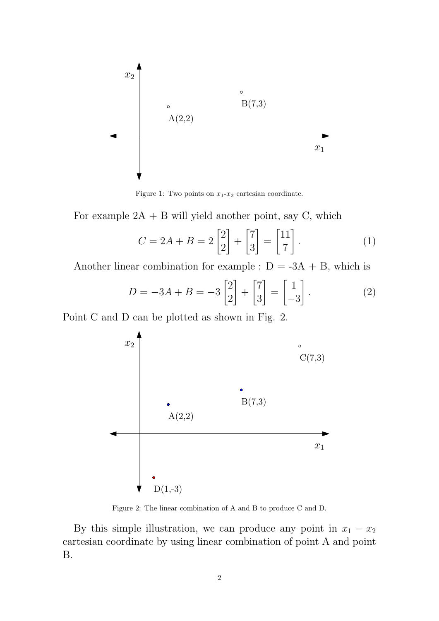

Figure 1: Two points on  $x_1-x_2$  cartesian coordinate.

For example  $2A + B$  will yield another point, say C, which

$$
C = 2A + B = 2\begin{bmatrix} 2 \\ 2 \end{bmatrix} + \begin{bmatrix} 7 \\ 3 \end{bmatrix} = \begin{bmatrix} 11 \\ 7 \end{bmatrix}.
$$
 (1)

Another linear combination for example :  $D = -3A + B$ , which is

$$
D = -3A + B = -3\begin{bmatrix} 2 \\ 2 \end{bmatrix} + \begin{bmatrix} 7 \\ 3 \end{bmatrix} = \begin{bmatrix} 1 \\ -3 \end{bmatrix}.
$$
 (2)

Point C and D can be plotted as shown in Fig. 2.



Figure 2: The linear combination of A and B to produce C and D.

By this simple illustration, we can produce any point in  $x_1 - x_2$ cartesian coordinate by using linear combination of point A and point B.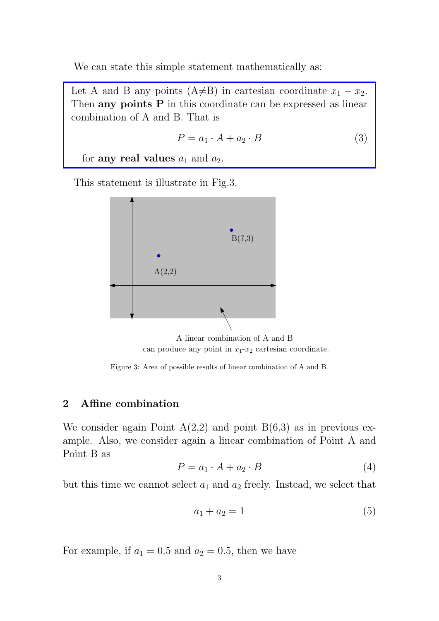We can state this simple statement mathematically as:

Let A and B any points (A $\neq$ B) in cartesian coordinate  $x_1 - x_2$ . Then any points P in this coordinate can be expressed as linear combination of A and B. That is

$$
P = a_1 \cdot A + a_2 \cdot B \tag{3}
$$

for any real values  $a_1$  and  $a_2$ .

This statement is illustrate in Fig.3.



A linear combination of A and B can produce any point in  $x_1-x_2$  cartesian coordinate.

Figure 3: Area of possible results of linear combination of A and B.

# 2 Affine combination

We consider again Point  $A(2,2)$  and point  $B(6,3)$  as in previous example. Also, we consider again a linear combination of Point A and Point B as

$$
P = a_1 \cdot A + a_2 \cdot B \tag{4}
$$

but this time we cannot select  $a_1$  and  $a_2$  freely. Instead, we select that

$$
a_1 + a_2 = 1 \tag{5}
$$

For example, if  $a_1 = 0.5$  and  $a_2 = 0.5$ , then we have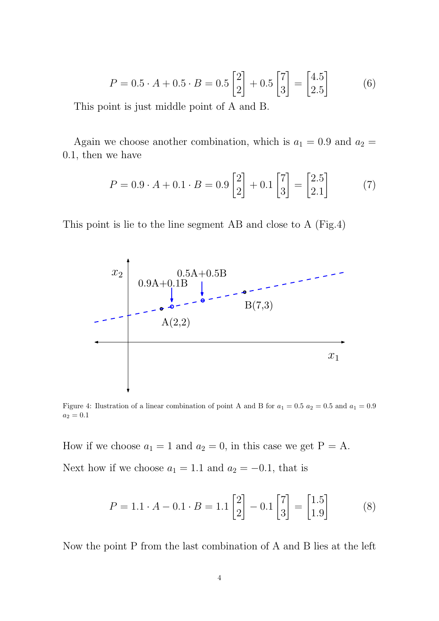$$
P = 0.5 \cdot A + 0.5 \cdot B = 0.5 \begin{bmatrix} 2 \\ 2 \end{bmatrix} + 0.5 \begin{bmatrix} 7 \\ 3 \end{bmatrix} = \begin{bmatrix} 4.5 \\ 2.5 \end{bmatrix}
$$
 (6)

This point is just middle point of A and B.

Again we choose another combination, which is  $a_1 = 0.9$  and  $a_2 =$ 0.1, then we have

$$
P = 0.9 \cdot A + 0.1 \cdot B = 0.9 \begin{bmatrix} 2 \\ 2 \end{bmatrix} + 0.1 \begin{bmatrix} 7 \\ 3 \end{bmatrix} = \begin{bmatrix} 2.5 \\ 2.1 \end{bmatrix}
$$
 (7)

This point is lie to the line segment AB and close to A (Fig.4)



Figure 4: Ilustration of a linear combination of point A and B for  $a_1 = 0.5$   $a_2 = 0.5$  and  $a_1 = 0.9$  $a_2 = 0.1$ 

How if we choose  $a_1 = 1$  and  $a_2 = 0$ , in this case we get  $P = A$ . Next how if we choose  $a_1 = 1.1$  and  $a_2 = -0.1$ , that is

$$
P = 1.1 \cdot A - 0.1 \cdot B = 1.1 \begin{bmatrix} 2 \\ 2 \end{bmatrix} - 0.1 \begin{bmatrix} 7 \\ 3 \end{bmatrix} = \begin{bmatrix} 1.5 \\ 1.9 \end{bmatrix}
$$
 (8)

Now the point P from the last combination of A and B lies at the left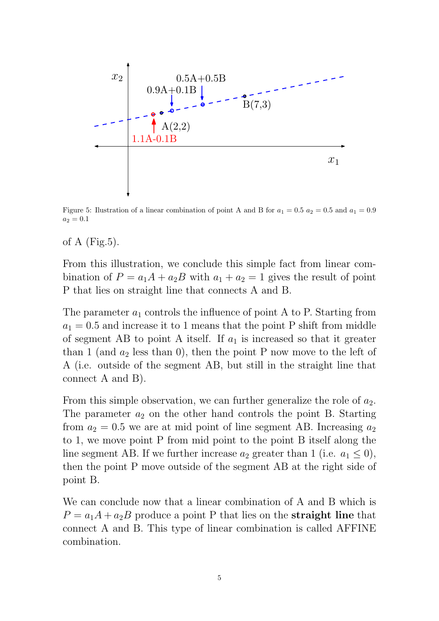

Figure 5: Ilustration of a linear combination of point A and B for  $a_1 = 0.5$   $a_2 = 0.5$  and  $a_1 = 0.9$  $a_2 = 0.1$ 

# of A  $(Fig.5)$ .

From this illustration, we conclude this simple fact from linear combination of  $P = a_1A + a_2B$  with  $a_1 + a_2 = 1$  gives the result of point P that lies on straight line that connects A and B.

The parameter  $a_1$  controls the influence of point A to P. Starting from  $a_1 = 0.5$  and increase it to 1 means that the point P shift from middle of segment AB to point A itself. If  $a_1$  is increased so that it greater than 1 (and  $a_2$  less than 0), then the point P now move to the left of A (i.e. outside of the segment AB, but still in the straight line that connect A and B).

From this simple observation, we can further generalize the role of  $a_2$ . The parameter  $a_2$  on the other hand controls the point B. Starting from  $a_2 = 0.5$  we are at mid point of line segment AB. Increasing  $a_2$ to 1, we move point P from mid point to the point B itself along the line segment AB. If we further increase  $a_2$  greater than 1 (i.e.  $a_1 \leq 0$ ), then the point P move outside of the segment AB at the right side of point B.

We can conclude now that a linear combination of A and B which is  $P = a_1A + a_2B$  produce a point P that lies on the **straight line** that connect A and B. This type of linear combination is called AFFINE combination.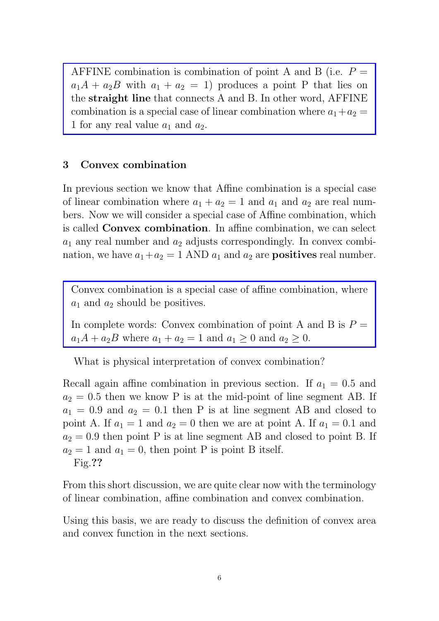AFFINE combination is combination of point A and B (i.e.  $P=$  $a_1A + a_2B$  with  $a_1 + a_2 = 1$ ) produces a point P that lies on the straight line that connects A and B. In other word, AFFINE combination is a special case of linear combination where  $a_1 + a_2 =$ 1 for any real value  $a_1$  and  $a_2$ .

# 3 Convex combination

In previous section we know that Affine combination is a special case of linear combination where  $a_1 + a_2 = 1$  and  $a_1$  and  $a_2$  are real numbers. Now we will consider a special case of Affine combination, which is called Convex combination. In affine combination, we can select  $a_1$  any real number and  $a_2$  adjusts correspondingly. In convex combination, we have  $a_1 + a_2 = 1$  AND  $a_1$  and  $a_2$  are **positives** real number.

Convex combination is a special case of affine combination, where  $a_1$  and  $a_2$  should be positives.

In complete words: Convex combination of point A and B is  $P =$  $a_1A + a_2B$  where  $a_1 + a_2 = 1$  and  $a_1 \ge 0$  and  $a_2 \ge 0$ .

What is physical interpretation of convex combination?

Recall again affine combination in previous section. If  $a_1 = 0.5$  and  $a_2 = 0.5$  then we know P is at the mid-point of line segment AB. If  $a_1 = 0.9$  and  $a_2 = 0.1$  then P is at line segment AB and closed to point A. If  $a_1 = 1$  and  $a_2 = 0$  then we are at point A. If  $a_1 = 0.1$  and  $a_2 = 0.9$  then point P is at line segment AB and closed to point B. If  $a_2 = 1$  and  $a_1 = 0$ , then point P is point B itself. Fig.??

From this short discussion, we are quite clear now with the terminology of linear combination, affine combination and convex combination.

Using this basis, we are ready to discuss the definition of convex area and convex function in the next sections.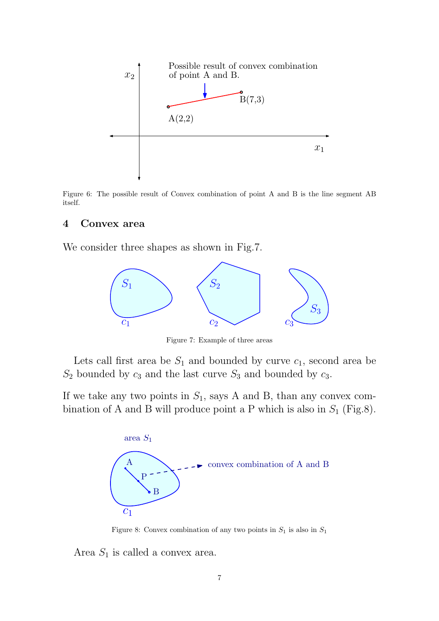

Figure 6: The possible result of Convex combination of point A and B is the line segment AB itself.

#### 4 Convex area

We consider three shapes as shown in Fig.7.



Figure 7: Example of three areas

Lets call first area be  $S_1$  and bounded by curve  $c_1$ , second area be  $S_2$  bounded by  $c_3$  and the last curve  $S_3$  and bounded by  $c_3$ .

If we take any two points in  $S_1$ , says A and B, than any convex combination of A and B will produce point a P which is also in  $S_1$  (Fig.8).



Figure 8: Convex combination of any two points in  $S_1$  is also in  $S_1$ 

Area  $S_1$  is called a convex area.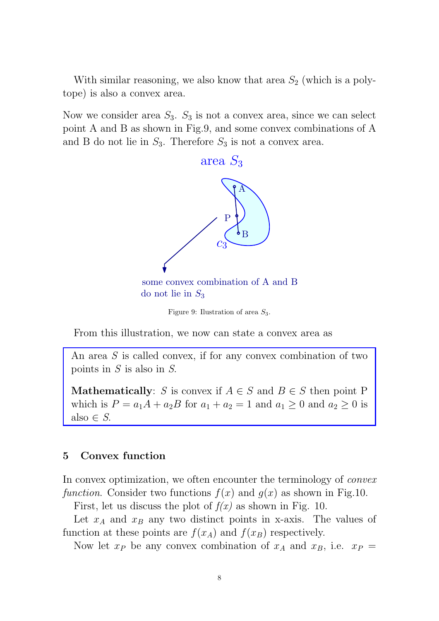With similar reasoning, we also know that area  $S_2$  (which is a polytope) is also a convex area.

Now we consider area  $S_3$ .  $S_3$  is not a convex area, since we can select point A and B as shown in Fig.9, and some convex combinations of A and B do not lie in  $S_3$ . Therefore  $S_3$  is not a convex area.



Figure 9: Ilustration of area  $S_3$ .

From this illustration, we now can state a convex area as

An area  $S$  is called convex, if for any convex combination of two points in  $S$  is also in  $S$ .

**Mathematically:** S is convex if  $A \in S$  and  $B \in S$  then point P which is  $P = a_1A + a_2B$  for  $a_1 + a_2 = 1$  and  $a_1 \ge 0$  and  $a_2 \ge 0$  is also  $\in S$ .

# 5 Convex function

In convex optimization, we often encounter the terminology of *convex* function. Consider two functions  $f(x)$  and  $g(x)$  as shown in Fig.10.

First, let us discuss the plot of  $f(x)$  as shown in Fig. 10.

Let  $x_A$  and  $x_B$  any two distinct points in x-axis. The values of function at these points are  $f(x_A)$  and  $f(x_B)$  respectively.

Now let  $x_P$  be any convex combination of  $x_A$  and  $x_B$ , i.e.  $x_P =$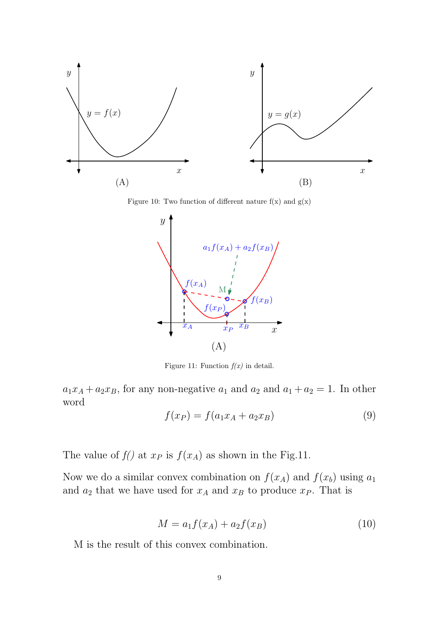

Figure 10: Two function of different nature  $f(x)$  and  $g(x)$ 



Figure 11: Function  $f(x)$  in detail.

 $a_1x_A + a_2x_B$ , for any non-negative  $a_1$  and  $a_2$  and  $a_1 + a_2 = 1$ . In other word

$$
f(x_P) = f(a_1 x_A + a_2 x_B) \tag{9}
$$

The value of  $f()$  at  $x_P$  is  $f(x_A)$  as shown in the Fig.11.

Now we do a similar convex combination on  $f(x_A)$  and  $f(x_b)$  using  $a_1$ and  $a_2$  that we have used for  $x_A$  and  $x_B$  to produce  $x_P$ . That is

$$
M = a_1 f(x_A) + a_2 f(x_B)
$$
 (10)

M is the result of this convex combination.